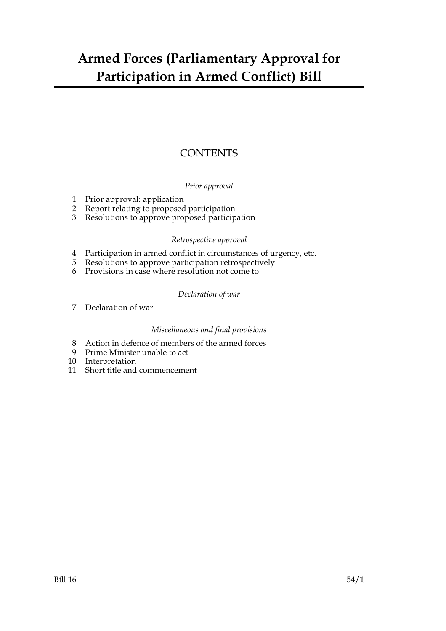# **CONTENTS**

# *Prior approval*

- 1 Prior approval: application
- 2 Report relating to proposed participation
- 3 Resolutions to approve proposed participation

#### *Retrospective approval*

- 4 Participation in armed conflict in circumstances of urgency, etc.
- 5 Resolutions to approve participation retrospectively
- 6 Provisions in case where resolution not come to

#### *Declaration of war*

7 Declaration of war

# *Miscellaneous and final provisions*

- 8 Action in defence of members of the armed forces
- 9 Prime Minister unable to act
- 10 Interpretation
- 11 Short title and commencement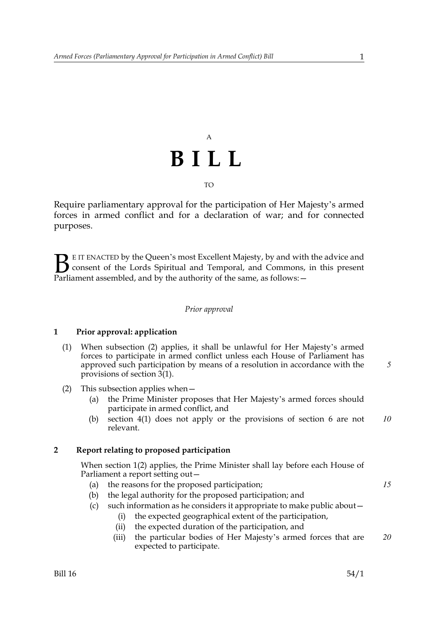# A **BILL**

TO

Require parliamentary approval for the participation of Her Majesty's armed forces in armed conflict and for a declaration of war; and for connected purposes.

E IT ENACTED by the Queen's most Excellent Majesty, by and with the advice and consent of the Lords Spiritual and Temporal, and Commons, in this present Parliament assembled, and by the authority of the same, as follows: - $B_{\text{p}}$ 

#### *Prior approval*

#### **1 Prior approval: application**

- (1) When subsection (2) applies, it shall be unlawful for Her Majesty's armed forces to participate in armed conflict unless each House of Parliament has approved such participation by means of a resolution in accordance with the provisions of section 3(1).
- (2) This subsection applies when—
	- (a) the Prime Minister proposes that Her Majesty's armed forces should participate in armed conflict, and
	- (b) section 4(1) does not apply or the provisions of section 6 are not relevant. *10*

#### **2 Report relating to proposed participation**

When section 1(2) applies, the Prime Minister shall lay before each House of Parliament a report setting out—

- (a) the reasons for the proposed participation;
- (b) the legal authority for the proposed participation; and
- (c) such information as he considers it appropriate to make public about—
	- (i) the expected geographical extent of the participation,
	- (ii) the expected duration of the participation, and
	- (iii) the particular bodies of Her Majesty's armed forces that are expected to participate. *20*

*5*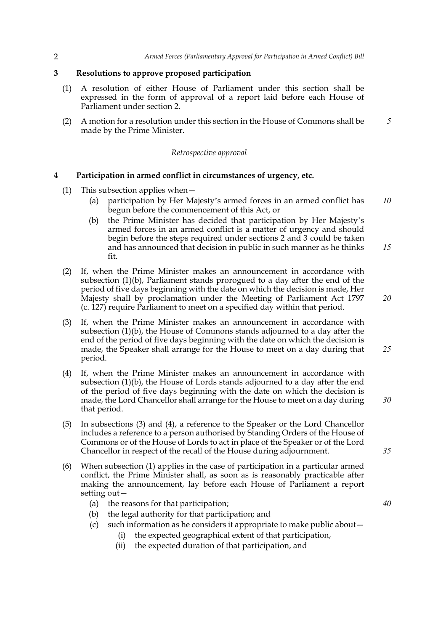### **3 Resolutions to approve proposed participation**

- (1) A resolution of either House of Parliament under this section shall be expressed in the form of approval of a report laid before each House of Parliament under section 2.
- (2) A motion for a resolution under this section in the House of Commons shall be made by the Prime Minister. *5*

#### *Retrospective approval*

#### **4 Participation in armed conflict in circumstances of urgency, etc.**

- (1) This subsection applies when—
	- (a) participation by Her Majesty's armed forces in an armed conflict has begun before the commencement of this Act, or *10*
	- (b) the Prime Minister has decided that participation by Her Majesty's armed forces in an armed conflict is a matter of urgency and should begin before the steps required under sections 2 and 3 could be taken and has announced that decision in public in such manner as he thinks fit. *15*
- (2) If, when the Prime Minister makes an announcement in accordance with subsection (1)(b), Parliament stands prorogued to a day after the end of the period of five days beginning with the date on which the decision is made, Her Majesty shall by proclamation under the Meeting of Parliament Act 1797 (c. 127) require Parliament to meet on a specified day within that period.
- (3) If, when the Prime Minister makes an announcement in accordance with subsection (1)(b), the House of Commons stands adjourned to a day after the end of the period of five days beginning with the date on which the decision is made, the Speaker shall arrange for the House to meet on a day during that period. *25*
- (4) If, when the Prime Minister makes an announcement in accordance with subsection (1)(b), the House of Lords stands adjourned to a day after the end of the period of five days beginning with the date on which the decision is made, the Lord Chancellor shall arrange for the House to meet on a day during that period.
- (5) In subsections (3) and (4), a reference to the Speaker or the Lord Chancellor includes a reference to a person authorised by Standing Orders of the House of Commons or of the House of Lords to act in place of the Speaker or of the Lord Chancellor in respect of the recall of the House during adjournment.
- (6) When subsection (1) applies in the case of participation in a particular armed conflict, the Prime Minister shall, as soon as is reasonably practicable after making the announcement, lay before each House of Parliament a report setting out—
	- (a) the reasons for that participation;
	- (b) the legal authority for that participation; and
	- (c) such information as he considers it appropriate to make public about—
		- (i) the expected geographical extent of that participation,
		- (ii) the expected duration of that participation, and

*35*

*40*

*30*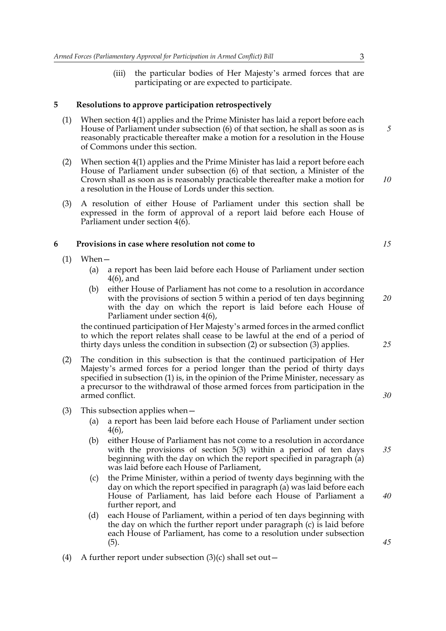(iii) the particular bodies of Her Majesty's armed forces that are participating or are expected to participate.

#### **5 Resolutions to approve participation retrospectively**

- (1) When section 4(1) applies and the Prime Minister has laid a report before each House of Parliament under subsection (6) of that section, he shall as soon as is reasonably practicable thereafter make a motion for a resolution in the House of Commons under this section.
- (2) When section 4(1) applies and the Prime Minister has laid a report before each House of Parliament under subsection (6) of that section, a Minister of the Crown shall as soon as is reasonably practicable thereafter make a motion for a resolution in the House of Lords under this section.
- (3) A resolution of either House of Parliament under this section shall be expressed in the form of approval of a report laid before each House of Parliament under section 4(6).

#### **6 Provisions in case where resolution not come to**

- $(1)$  When
	- (a) a report has been laid before each House of Parliament under section 4(6), and
	- (b) either House of Parliament has not come to a resolution in accordance with the provisions of section 5 within a period of ten days beginning with the day on which the report is laid before each House of Parliament under section 4(6),

the continued participation of Her Majesty's armed forces in the armed conflict to which the report relates shall cease to be lawful at the end of a period of thirty days unless the condition in subsection (2) or subsection (3) applies.

- (2) The condition in this subsection is that the continued participation of Her Majesty's armed forces for a period longer than the period of thirty days specified in subsection (1) is, in the opinion of the Prime Minister, necessary as a precursor to the withdrawal of those armed forces from participation in the armed conflict.
- (3) This subsection applies when—
	- (a) a report has been laid before each House of Parliament under section 4(6),
	- (b) either House of Parliament has not come to a resolution in accordance with the provisions of section 5(3) within a period of ten days beginning with the day on which the report specified in paragraph (a) was laid before each House of Parliament,
	- (c) the Prime Minister, within a period of twenty days beginning with the day on which the report specified in paragraph (a) was laid before each House of Parliament, has laid before each House of Parliament a further report, and
	- (d) each House of Parliament, within a period of ten days beginning with the day on which the further report under paragraph (c) is laid before each House of Parliament, has come to a resolution under subsection (5).
- (4) A further report under subsection  $(3)(c)$  shall set out –

*10*

*5*

*20*

*15*

*25*

*30*

*35*

*40*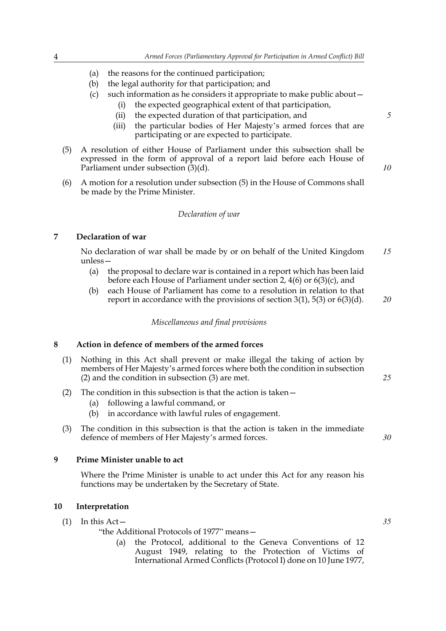- (a) the reasons for the continued participation;
- (b) the legal authority for that participation; and
- (c) such information as he considers it appropriate to make public about—
	- (i) the expected geographical extent of that participation,
	- (ii) the expected duration of that participation, and
	- (iii) the particular bodies of Her Majesty's armed forces that are participating or are expected to participate.
- (5) A resolution of either House of Parliament under this subsection shall be expressed in the form of approval of a report laid before each House of Parliament under subsection  $(3)(d)$ .
- (6) A motion for a resolution under subsection (5) in the House of Commons shall be made by the Prime Minister.

#### *Declaration of war*

#### **7 Declaration of war**

No declaration of war shall be made by or on behalf of the United Kingdom unless— *15*

- (a) the proposal to declare war is contained in a report which has been laid before each House of Parliament under section 2, 4(6) or 6(3)(c), and
- (b) each House of Parliament has come to a resolution in relation to that report in accordance with the provisions of section  $3(1)$ ,  $5(3)$  or  $6(3)(d)$ .

# *20*

*25*

*30*

#### *Miscellaneous and final provisions*

#### **8 Action in defence of members of the armed forces**

- (1) Nothing in this Act shall prevent or make illegal the taking of action by members of Her Majesty's armed forces where both the condition in subsection (2) and the condition in subsection (3) are met.
- (2) The condition in this subsection is that the action is taken—
	- (a) following a lawful command, or
	- (b) in accordance with lawful rules of engagement.
- (3) The condition in this subsection is that the action is taken in the immediate defence of members of Her Majesty's armed forces.

#### **9 Prime Minister unable to act**

Where the Prime Minister is unable to act under this Act for any reason his functions may be undertaken by the Secretary of State.

#### **10 Interpretation**

 $(1)$  In this Act –

"the Additional Protocols of 1977" means—

(a) the Protocol, additional to the Geneva Conventions of 12 August 1949, relating to the Protection of Victims of International Armed Conflicts (Protocol I) done on 10 June 1977, *5*

*10*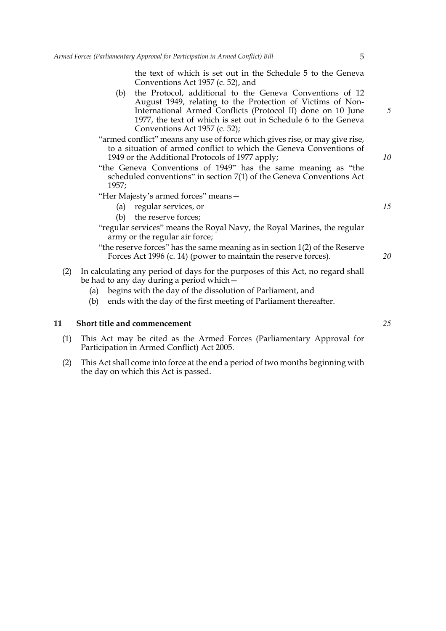the text of which is set out in the Schedule 5 to the Geneva Conventions Act 1957 (c. 52), and

(b) the Protocol, additional to the Geneva Conventions of 12 August 1949, relating to the Protection of Victims of Non-International Armed Conflicts (Protocol II) done on 10 June 1977, the text of which is set out in Schedule 6 to the Geneva Conventions Act 1957 (c. 52);

"armed conflict" means any use of force which gives rise, or may give rise, to a situation of armed conflict to which the Geneva Conventions of 1949 or the Additional Protocols of 1977 apply;

- "the Geneva Conventions of 1949" has the same meaning as "the scheduled conventions" in section 7(1) of the Geneva Conventions Act 1957;
- "Her Majesty's armed forces" means—
	- (a) regular services, or
	- (b) the reserve forces;
- "regular services" means the Royal Navy, the Royal Marines, the regular army or the regular air force;

"the reserve forces" has the same meaning as in section  $1(2)$  of the Reserve Forces Act 1996 (c. 14) (power to maintain the reserve forces).

- (2) In calculating any period of days for the purposes of this Act, no regard shall be had to any day during a period which—
	- (a) begins with the day of the dissolution of Parliament, and
	- (b) ends with the day of the first meeting of Parliament thereafter.

#### **11 Short title and commencement**

- (1) This Act may be cited as the Armed Forces (Parliamentary Approval for Participation in Armed Conflict) Act 2005.
- (2) This Act shall come into force at the end a period of two months beginning with the day on which this Act is passed.

*5*

*10*

*15*

*20*